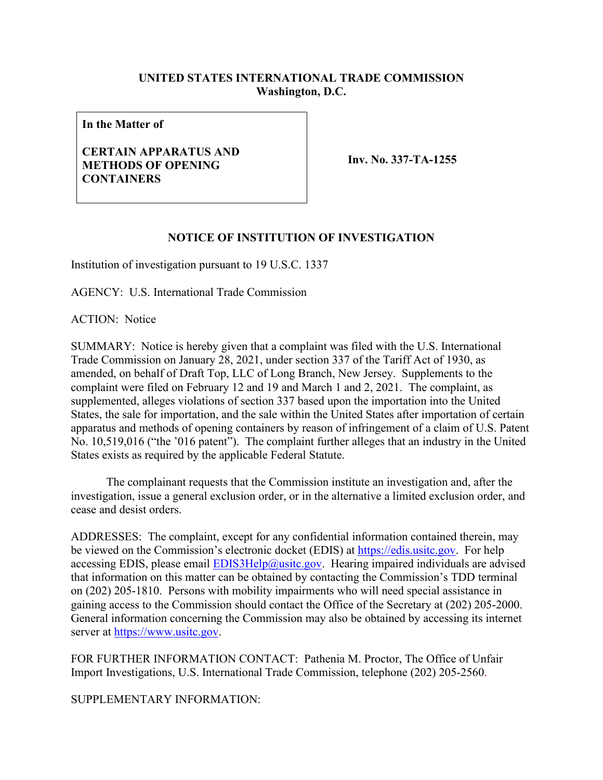### **UNITED STATES INTERNATIONAL TRADE COMMISSION Washington, D.C.**

**In the Matter of**

### **CERTAIN APPARATUS AND METHODS OF OPENING CONTAINERS**

**Inv. No. 337-TA-1255**

### **NOTICE OF INSTITUTION OF INVESTIGATION**

Institution of investigation pursuant to 19 U.S.C. 1337

AGENCY: U.S. International Trade Commission

ACTION: Notice

SUMMARY: Notice is hereby given that a complaint was filed with the U.S. International Trade Commission on January 28, 2021, under section 337 of the Tariff Act of 1930, as amended, on behalf of Draft Top, LLC of Long Branch, New Jersey. Supplements to the complaint were filed on February 12 and 19 and March 1 and 2, 2021. The complaint, as supplemented, alleges violations of section 337 based upon the importation into the United States, the sale for importation, and the sale within the United States after importation of certain apparatus and methods of opening containers by reason of infringement of a claim of U.S. Patent No. 10,519,016 ("the '016 patent"). The complaint further alleges that an industry in the United States exists as required by the applicable Federal Statute.

The complainant requests that the Commission institute an investigation and, after the investigation, issue a general exclusion order, or in the alternative a limited exclusion order, and cease and desist orders.

ADDRESSES: The complaint, except for any confidential information contained therein, may be viewed on the Commission's electronic docket (EDIS) at [https://edis.usitc.gov.](https://edis.usitc.gov/) For help accessing EDIS, please email  $EDIS3Help@usite.gov$ . Hearing impaired individuals are advised that information on this matter can be obtained by contacting the Commission's TDD terminal on (202) 205-1810. Persons with mobility impairments who will need special assistance in gaining access to the Commission should contact the Office of the Secretary at (202) 205-2000. General information concerning the Commission may also be obtained by accessing its internet server at [https://www.usitc.gov.](https://www.usitc.gov/)

FOR FURTHER INFORMATION CONTACT: Pathenia M. Proctor, The Office of Unfair Import Investigations, U.S. International Trade Commission, telephone (202) 205-2560.

SUPPLEMENTARY INFORMATION: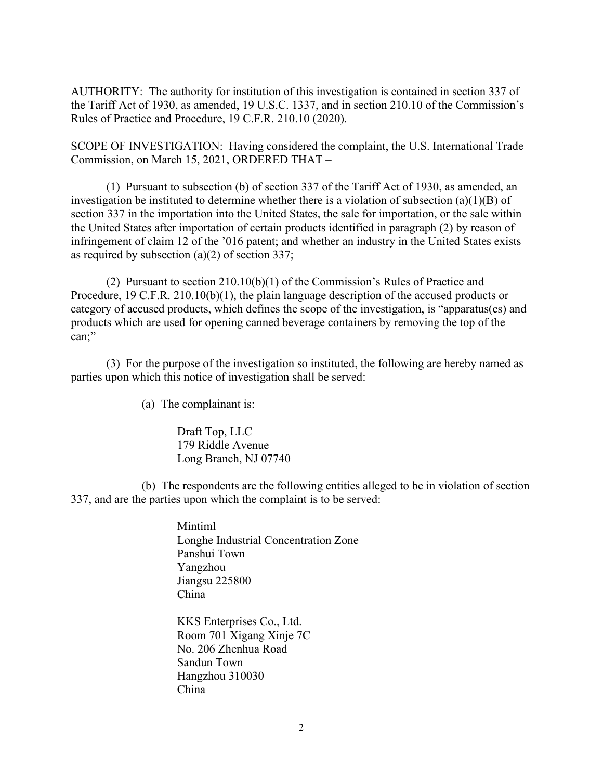AUTHORITY: The authority for institution of this investigation is contained in section 337 of the Tariff Act of 1930, as amended, 19 U.S.C. 1337, and in section 210.10 of the Commission's Rules of Practice and Procedure, 19 C.F.R. 210.10 (2020).

SCOPE OF INVESTIGATION: Having considered the complaint, the U.S. International Trade Commission, on March 15, 2021, ORDERED THAT –

(1) Pursuant to subsection (b) of section 337 of the Tariff Act of 1930, as amended, an investigation be instituted to determine whether there is a violation of subsection (a)(1)(B) of section 337 in the importation into the United States, the sale for importation, or the sale within the United States after importation of certain products identified in paragraph (2) by reason of infringement of claim 12 of the '016 patent; and whether an industry in the United States exists as required by subsection (a)(2) of section 337;

(2) Pursuant to section 210.10(b)(1) of the Commission's Rules of Practice and Procedure, 19 C.F.R. 210.10(b)(1), the plain language description of the accused products or category of accused products, which defines the scope of the investigation, is "apparatus(es) and products which are used for opening canned beverage containers by removing the top of the can;"

(3) For the purpose of the investigation so instituted, the following are hereby named as parties upon which this notice of investigation shall be served:

(a) The complainant is:

Draft Top, LLC 179 Riddle Avenue Long Branch, NJ 07740

(b) The respondents are the following entities alleged to be in violation of section 337, and are the parties upon which the complaint is to be served:

> Mintiml Longhe Industrial Concentration Zone Panshui Town Yangzhou Jiangsu 225800 China

KKS Enterprises Co., Ltd. Room 701 Xigang Xinje 7C No. 206 Zhenhua Road Sandun Town Hangzhou 310030 China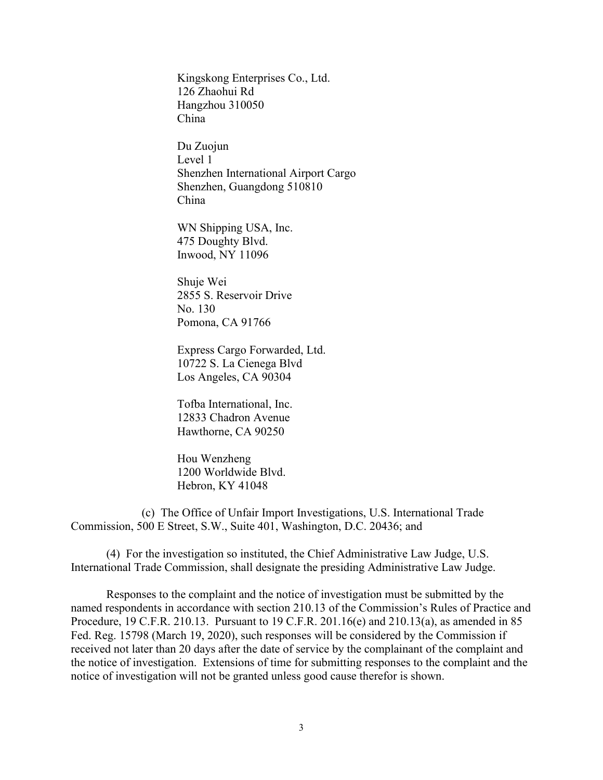Kingskong Enterprises Co., Ltd. 126 Zhaohui Rd Hangzhou 310050 China

Du Zuojun Level 1 Shenzhen International Airport Cargo Shenzhen, Guangdong 510810 China

WN Shipping USA, Inc. 475 Doughty Blvd. Inwood, NY 11096

Shuje Wei 2855 S. Reservoir Drive No. 130 Pomona, CA 91766

Express Cargo Forwarded, Ltd. 10722 S. La Cienega Blvd Los Angeles, CA 90304

Tofba International, Inc. 12833 Chadron Avenue Hawthorne, CA 90250

Hou Wenzheng 1200 Worldwide Blvd. Hebron, KY 41048

(c) The Office of Unfair Import Investigations, U.S. International Trade Commission, 500 E Street, S.W., Suite 401, Washington, D.C. 20436; and

(4) For the investigation so instituted, the Chief Administrative Law Judge, U.S. International Trade Commission, shall designate the presiding Administrative Law Judge.

Responses to the complaint and the notice of investigation must be submitted by the named respondents in accordance with section 210.13 of the Commission's Rules of Practice and Procedure, 19 C.F.R. 210.13. Pursuant to 19 C.F.R. 201.16(e) and 210.13(a), as amended in 85 Fed. Reg. 15798 (March 19, 2020), such responses will be considered by the Commission if received not later than 20 days after the date of service by the complainant of the complaint and the notice of investigation. Extensions of time for submitting responses to the complaint and the notice of investigation will not be granted unless good cause therefor is shown.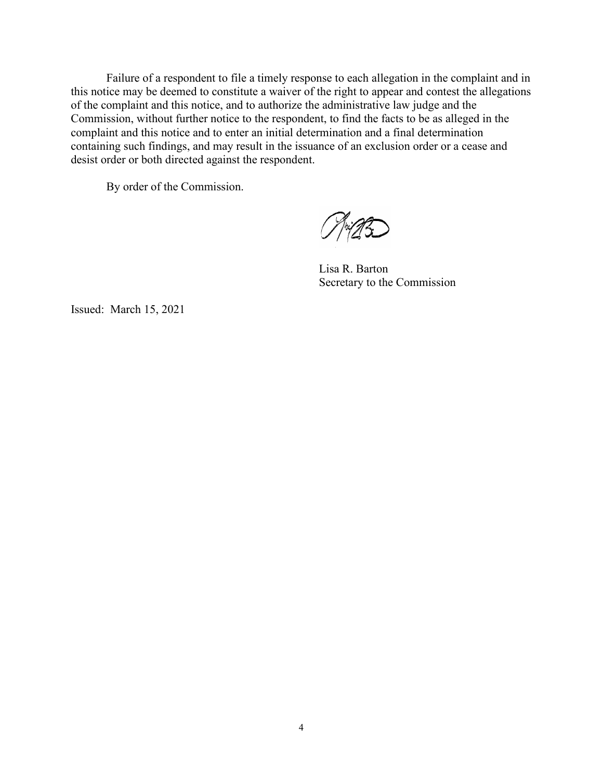Failure of a respondent to file a timely response to each allegation in the complaint and in this notice may be deemed to constitute a waiver of the right to appear and contest the allegations of the complaint and this notice, and to authorize the administrative law judge and the Commission, without further notice to the respondent, to find the facts to be as alleged in the complaint and this notice and to enter an initial determination and a final determination containing such findings, and may result in the issuance of an exclusion order or a cease and desist order or both directed against the respondent.

By order of the Commission.

TriAZ

Lisa R. Barton Secretary to the Commission

Issued: March 15, 2021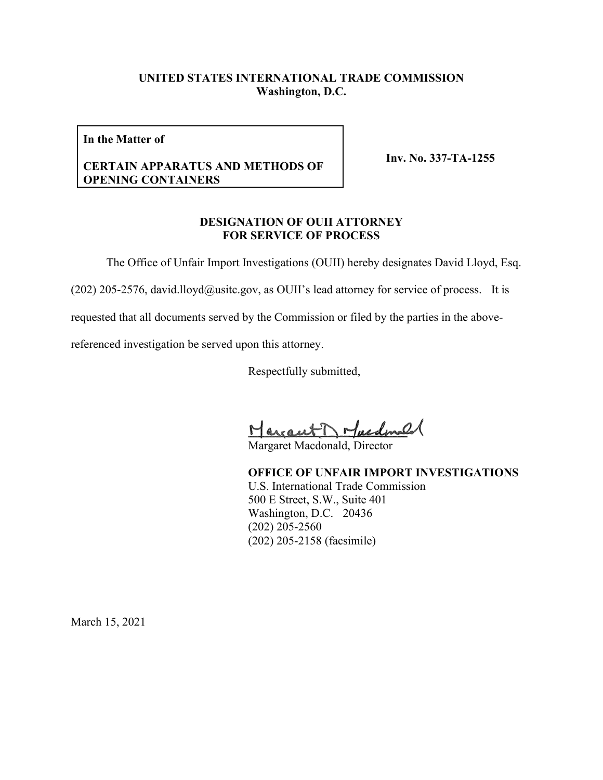### **UNITED STATES INTERNATIONAL TRADE COMMISSION Washington, D.C.**

**In the Matter of**

#### **CERTAIN APPARATUS AND METHODS OF OPENING CONTAINERS**

**Inv. No. 337-TA-1255**

#### **DESIGNATION OF OUII ATTORNEY FOR SERVICE OF PROCESS**

The Office of Unfair Import Investigations (OUII) hereby designates David Lloyd, Esq.

(202) 205-2576, david.lloyd@usitc.gov, as OUII's lead attorney for service of process. It is

requested that all documents served by the Commission or filed by the parties in the above-

referenced investigation be served upon this attorney.

Respectfully submitted,

Margaret Macdonald

**OFFICE OF UNFAIR IMPORT INVESTIGATIONS** U.S. International Trade Commission 500 E Street, S.W., Suite 401 Washington, D.C. 20436 (202) 205-2560 (202) 205-2158 (facsimile)

March 15, 2021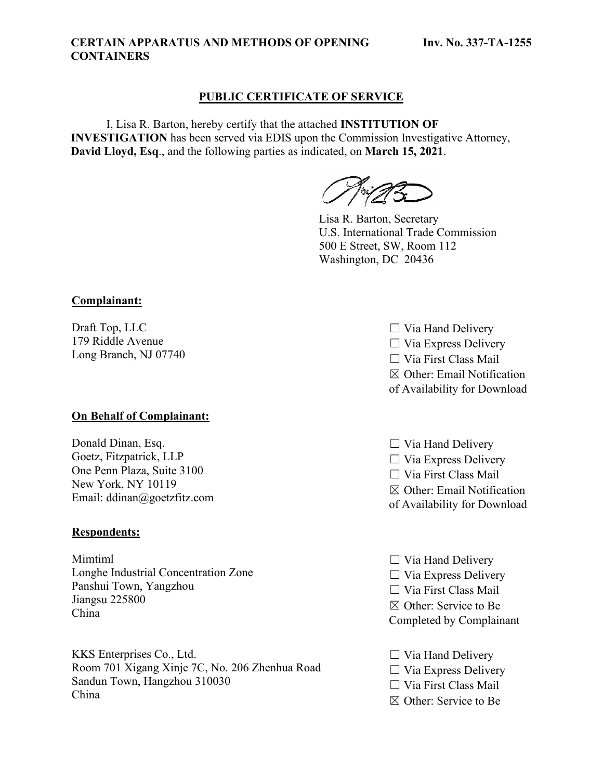#### **CERTAIN APPARATUS AND METHODS OF OPENING CONTAINERS**

### **PUBLIC CERTIFICATE OF SERVICE**

I, Lisa R. Barton, hereby certify that the attached **INSTITUTION OF INVESTIGATION** has been served via EDIS upon the Commission Investigative Attorney, **David Lloyd, Esq**., and the following parties as indicated, on **March 15, 2021**.

Lisa R. Barton, Secretary U.S. International Trade Commission 500 E Street, SW, Room 112 Washington, DC 20436

### **Complainant:**

Draft Top, LLC 179 Riddle Avenue Long Branch, NJ 07740

#### **On Behalf of Complainant:**

Donald Dinan, Esq. Goetz, Fitzpatrick, LLP One Penn Plaza, Suite 3100 New York, NY 10119 Email: ddinan@goetzfitz.com

#### **Respondents:**

Mimtiml Longhe Industrial Concentration Zone Panshui Town, Yangzhou Jiangsu 225800 China

KKS Enterprises Co., Ltd. Room 701 Xigang Xinje 7C, No. 206 Zhenhua Road Sandun Town, Hangzhou 310030 China

- $\Box$  Via Hand Delivery  $\Box$  Via Express Delivery ☐ Via First Class Mail ☒ Other: Email Notification of Availability for Download
- $\Box$  Via Hand Delivery  $\Box$  Via Express Delivery ☐ Via First Class Mail ☒ Other: Email Notification of Availability for Download
- $\Box$  Via Hand Delivery  $\Box$  Via Express Delivery ☐ Via First Class Mail ☒ Other: Service to Be Completed by Complainant
- $\Box$  Via Hand Delivery  $\Box$  Via Express Delivery ☐ Via First Class Mail
- ☒ Other: Service to Be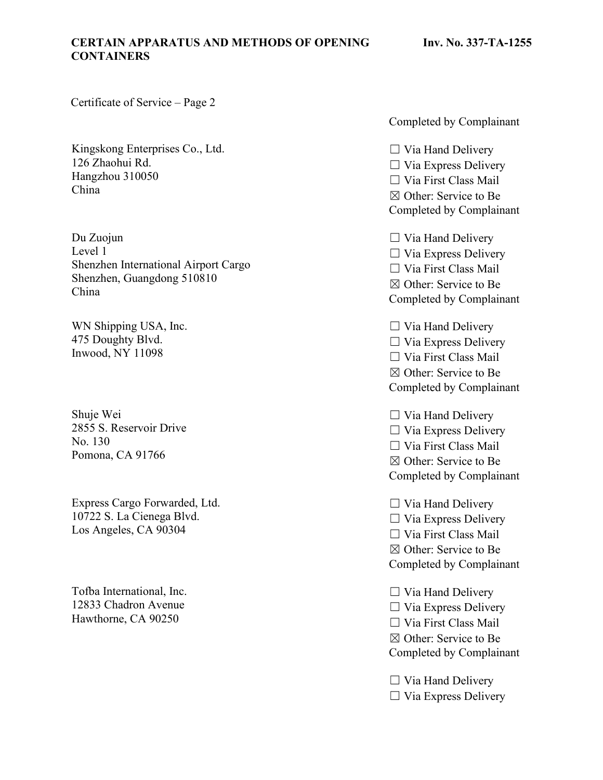### **CERTAIN APPARATUS AND METHODS OF OPENING CONTAINERS**

Certificate of Service – Page 2

Kingskong Enterprises Co., Ltd. 126 Zhaohui Rd. Hangzhou 310050 China

Du Zuojun Level 1 Shenzhen International Airport Cargo Shenzhen, Guangdong 510810 China

WN Shipping USA, Inc. 475 Doughty Blvd. Inwood, NY 11098

Shuje Wei 2855 S. Reservoir Drive No. 130 Pomona, CA 91766

Express Cargo Forwarded, Ltd. 10722 S. La Cienega Blvd. Los Angeles, CA 90304

Tofba International, Inc. 12833 Chadron Avenue Hawthorne, CA 90250

Completed by Complainant

 $\Box$  Via Hand Delivery  $\Box$  Via Express Delivery  $\Box$  Via First Class Mail ☒ Other: Service to Be Completed by Complainant

 $\Box$  Via Hand Delivery  $\Box$  Via Express Delivery ☐ Via First Class Mail ☒ Other: Service to Be Completed by Complainant

 $\Box$  Via Hand Delivery  $\Box$  Via Express Delivery ☐ Via First Class Mail ☒ Other: Service to Be Completed by Complainant

 $\Box$  Via Hand Delivery  $\Box$  Via Express Delivery ☐ Via First Class Mail ☒ Other: Service to Be Completed by Complainant

 $\Box$  Via Hand Delivery  $\Box$  Via Express Delivery

☐ Via First Class Mail

☒ Other: Service to Be

Completed by Complainant

 $\Box$  Via Hand Delivery  $\Box$  Via Express Delivery ☐ Via First Class Mail ☒ Other: Service to Be Completed by Complainant

 $\Box$  Via Hand Delivery  $\Box$  Via Express Delivery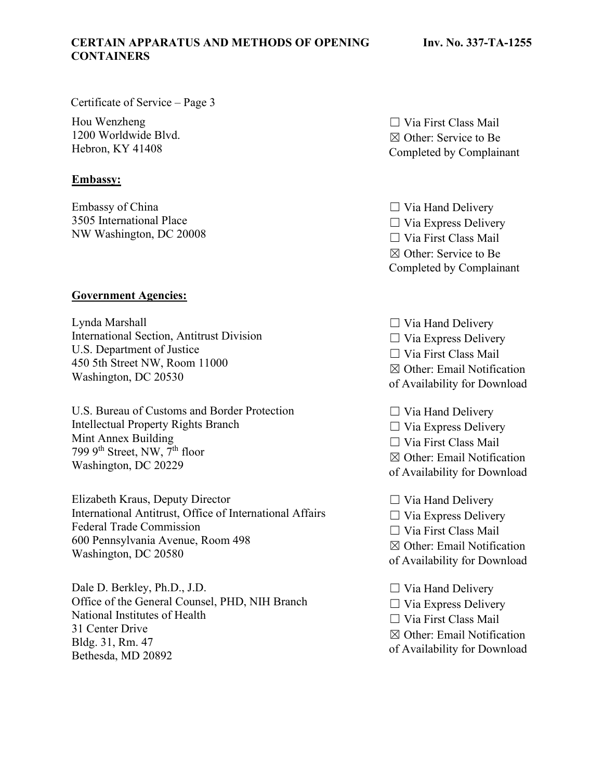### **CERTAIN APPARATUS AND METHODS OF OPENING CONTAINERS**

Certificate of Service – Page 3

Hou Wenzheng 1200 Worldwide Blvd. Hebron, KY 41408

### **Embassy:**

Embassy of China 3505 International Place NW Washington, DC 20008

### **Government Agencies:**

Lynda Marshall International Section, Antitrust Division U.S. Department of Justice 450 5th Street NW, Room 11000 Washington, DC 20530

U.S. Bureau of Customs and Border Protection Intellectual Property Rights Branch Mint Annex Building 799  $9<sup>th</sup>$  Street, NW,  $7<sup>th</sup>$  floor Washington, DC 20229

Elizabeth Kraus, Deputy Director International Antitrust, Office of International Affairs Federal Trade Commission 600 Pennsylvania Avenue, Room 498 Washington, DC 20580

Dale D. Berkley, Ph.D., J.D. Office of the General Counsel, PHD, NIH Branch National Institutes of Health 31 Center Drive Bldg. 31, Rm. 47 Bethesda, MD 20892

 $\Box$  Via First Class Mail ☒ Other: Service to Be Completed by Complainant

 $\Box$  Via Hand Delivery  $\Box$  Via Express Delivery ☐ Via First Class Mail ☒ Other: Service to Be Completed by Complainant

 $\Box$  Via Hand Delivery  $\Box$  Via Express Delivery ☐ Via First Class Mail ☒ Other: Email Notification of Availability for Download

 $\Box$  Via Hand Delivery  $\Box$  Via Express Delivery ☐ Via First Class Mail ☒ Other: Email Notification

of Availability for Download

☐ Via Hand Delivery

 $\Box$  Via Express Delivery

☐ Via First Class Mail

☒ Other: Email Notification

of Availability for Download

- $\Box$  Via Hand Delivery  $\Box$  Via Express Delivery ☐ Via First Class Mail
- ☒ Other: Email Notification
- of Availability for Download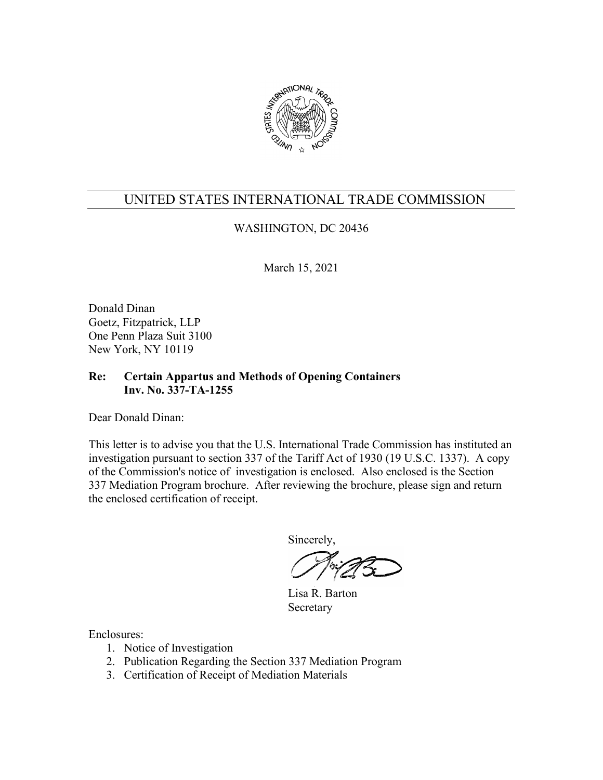

### WASHINGTON, DC 20436

March 15, 2021

Donald Dinan Goetz, Fitzpatrick, LLP One Penn Plaza Suit 3100 New York, NY 10119

### **Re: Certain Appartus and Methods of Opening Containers Inv. No. 337-TA-1255**

Dear Donald Dinan:

This letter is to advise you that the U.S. International Trade Commission has instituted an investigation pursuant to section 337 of the Tariff Act of 1930 (19 U.S.C. 1337). A copy of the Commission's notice of investigation is enclosed. Also enclosed is the Section 337 Mediation Program brochure. After reviewing the brochure, please sign and return the enclosed certification of receipt.

Sincerely,

Lisa R. Barton Secretary

- 1. Notice of Investigation
- 2. Publication Regarding the Section 337 Mediation Program
- 3. Certification of Receipt of Mediation Materials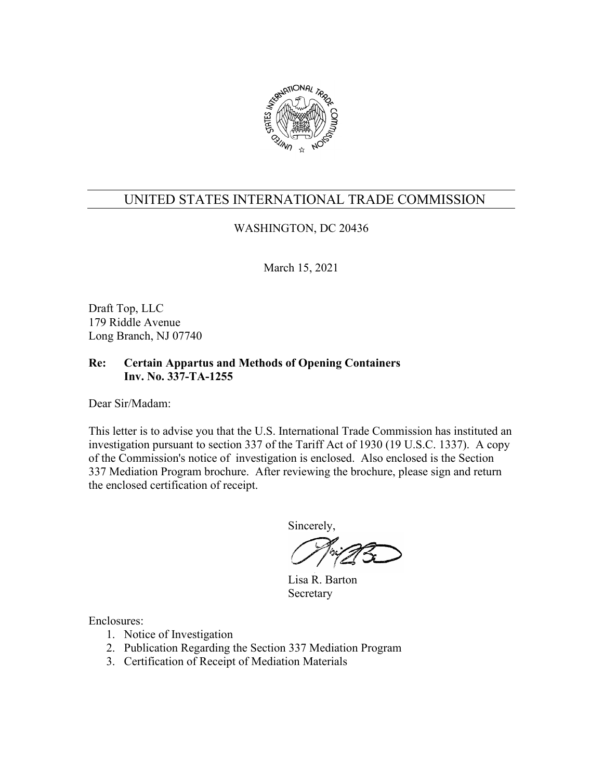

## WASHINGTON, DC 20436

March 15, 2021

Draft Top, LLC 179 Riddle Avenue Long Branch, NJ 07740

### **Re: Certain Appartus and Methods of Opening Containers Inv. No. 337-TA-1255**

Dear Sir/Madam:

This letter is to advise you that the U.S. International Trade Commission has instituted an investigation pursuant to section 337 of the Tariff Act of 1930 (19 U.S.C. 1337). A copy of the Commission's notice of investigation is enclosed. Also enclosed is the Section 337 Mediation Program brochure. After reviewing the brochure, please sign and return the enclosed certification of receipt.

Sincerely,

Lisa R. Barton Secretary

- 1. Notice of Investigation
- 2. Publication Regarding the Section 337 Mediation Program
- 3. Certification of Receipt of Mediation Materials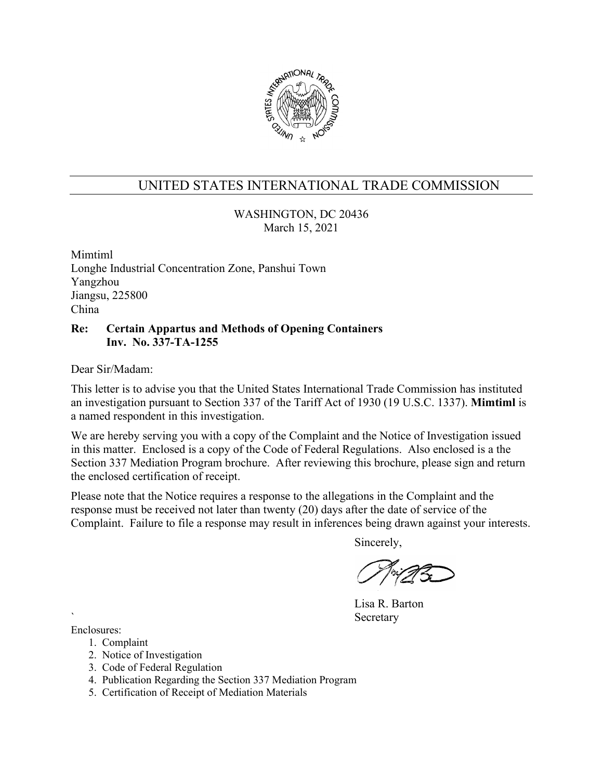

WASHINGTON, DC 20436 March 15, 2021

Mimtiml Longhe Industrial Concentration Zone, Panshui Town Yangzhou Jiangsu, 225800 China

### **Re: Certain Appartus and Methods of Opening Containers Inv. No. 337-TA-1255**

Dear Sir/Madam:

This letter is to advise you that the United States International Trade Commission has instituted an investigation pursuant to Section 337 of the Tariff Act of 1930 (19 U.S.C. 1337). **Mimtiml** is a named respondent in this investigation.

We are hereby serving you with a copy of the Complaint and the Notice of Investigation issued in this matter. Enclosed is a copy of the Code of Federal Regulations. Also enclosed is a the Section 337 Mediation Program brochure. After reviewing this brochure, please sign and return the enclosed certification of receipt.

Please note that the Notice requires a response to the allegations in the Complaint and the response must be received not later than twenty (20) days after the date of service of the Complaint. Failure to file a response may result in inferences being drawn against your interests.

Sincerely,

Lisa R. Barton **Secretary** 

- 1. Complaint
- 2. Notice of Investigation
- 3. Code of Federal Regulation
- 4. Publication Regarding the Section 337 Mediation Program
- 5. Certification of Receipt of Mediation Materials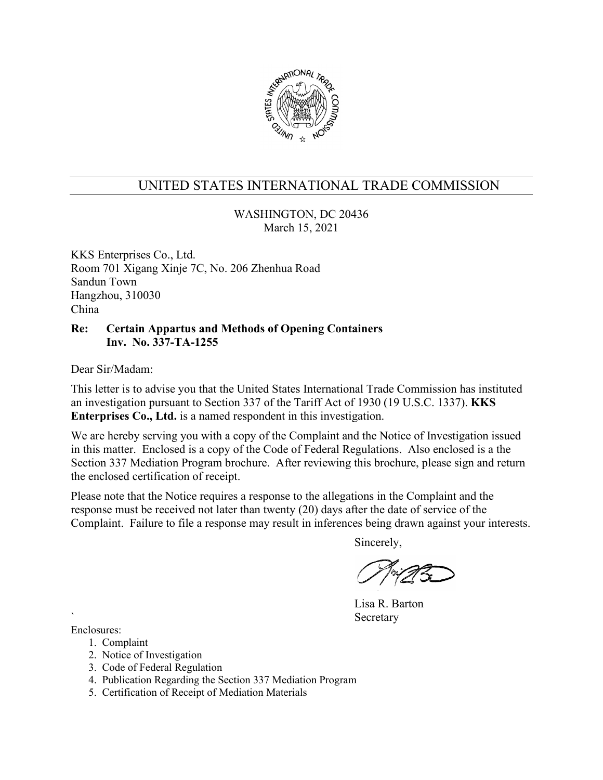

WASHINGTON, DC 20436 March 15, 2021

KKS Enterprises Co., Ltd. Room 701 Xigang Xinje 7C, No. 206 Zhenhua Road Sandun Town Hangzhou, 310030 China

### **Re: Certain Appartus and Methods of Opening Containers Inv. No. 337-TA-1255**

Dear Sir/Madam:

This letter is to advise you that the United States International Trade Commission has instituted an investigation pursuant to Section 337 of the Tariff Act of 1930 (19 U.S.C. 1337). **KKS Enterprises Co., Ltd.** is a named respondent in this investigation.

We are hereby serving you with a copy of the Complaint and the Notice of Investigation issued in this matter. Enclosed is a copy of the Code of Federal Regulations. Also enclosed is a the Section 337 Mediation Program brochure. After reviewing this brochure, please sign and return the enclosed certification of receipt.

Please note that the Notice requires a response to the allegations in the Complaint and the response must be received not later than twenty (20) days after the date of service of the Complaint. Failure to file a response may result in inferences being drawn against your interests.

Sincerely,

Lisa R. Barton **Secretary** 

- 1. Complaint
- 2. Notice of Investigation
- 3. Code of Federal Regulation
- 4. Publication Regarding the Section 337 Mediation Program
- 5. Certification of Receipt of Mediation Materials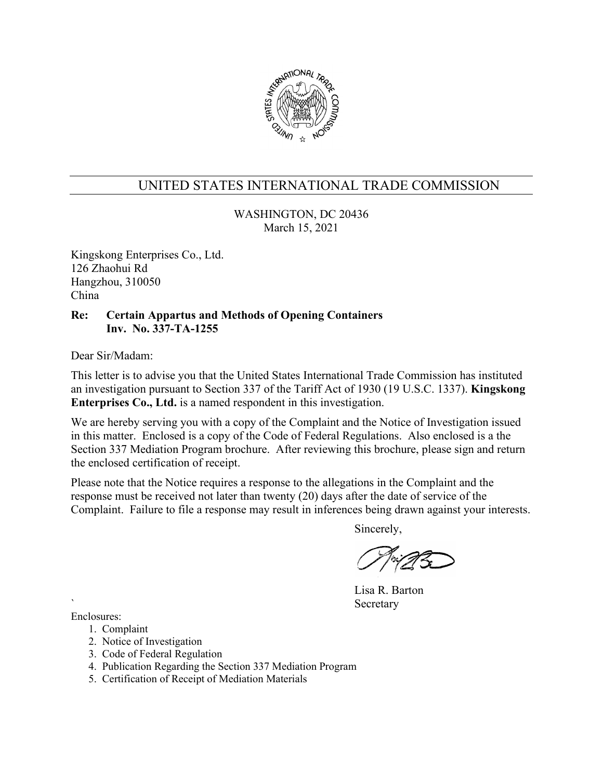

WASHINGTON, DC 20436 March 15, 2021

Kingskong Enterprises Co., Ltd. 126 Zhaohui Rd Hangzhou, 310050 China

#### **Re: Certain Appartus and Methods of Opening Containers Inv. No. 337-TA-1255**

Dear Sir/Madam:

This letter is to advise you that the United States International Trade Commission has instituted an investigation pursuant to Section 337 of the Tariff Act of 1930 (19 U.S.C. 1337). **Kingskong Enterprises Co., Ltd.** is a named respondent in this investigation.

We are hereby serving you with a copy of the Complaint and the Notice of Investigation issued in this matter. Enclosed is a copy of the Code of Federal Regulations. Also enclosed is a the Section 337 Mediation Program brochure. After reviewing this brochure, please sign and return the enclosed certification of receipt.

Please note that the Notice requires a response to the allegations in the Complaint and the response must be received not later than twenty (20) days after the date of service of the Complaint. Failure to file a response may result in inferences being drawn against your interests.

Sincerely,

Lisa R. Barton **Secretary** 

- 1. Complaint
- 2. Notice of Investigation
- 3. Code of Federal Regulation
- 4. Publication Regarding the Section 337 Mediation Program
- 5. Certification of Receipt of Mediation Materials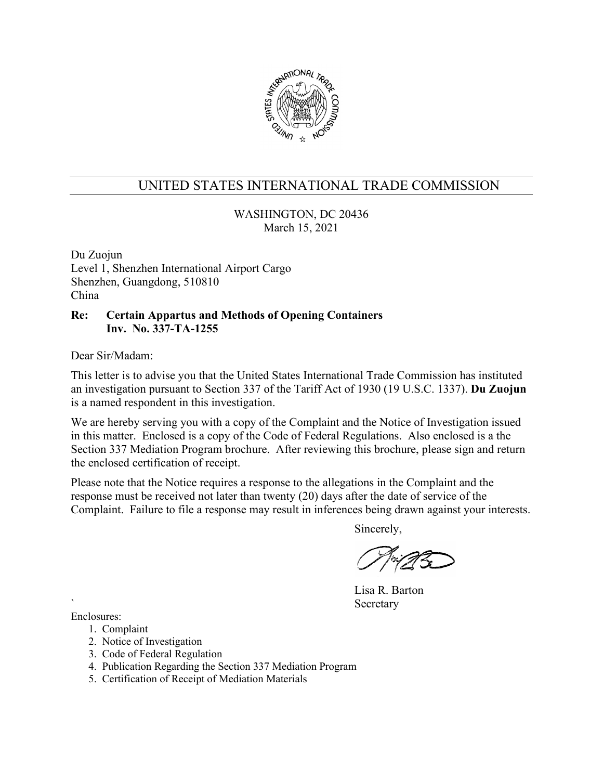

WASHINGTON, DC 20436 March 15, 2021

Du Zuojun Level 1, Shenzhen International Airport Cargo Shenzhen, Guangdong, 510810 China

#### **Re: Certain Appartus and Methods of Opening Containers Inv. No. 337-TA-1255**

Dear Sir/Madam:

This letter is to advise you that the United States International Trade Commission has instituted an investigation pursuant to Section 337 of the Tariff Act of 1930 (19 U.S.C. 1337). **Du Zuojun** is a named respondent in this investigation.

We are hereby serving you with a copy of the Complaint and the Notice of Investigation issued in this matter. Enclosed is a copy of the Code of Federal Regulations. Also enclosed is a the Section 337 Mediation Program brochure. After reviewing this brochure, please sign and return the enclosed certification of receipt.

Please note that the Notice requires a response to the allegations in the Complaint and the response must be received not later than twenty (20) days after the date of service of the Complaint. Failure to file a response may result in inferences being drawn against your interests.

Sincerely,

Lisa R. Barton **Secretary** 

- 1. Complaint
- 2. Notice of Investigation
- 3. Code of Federal Regulation
- 4. Publication Regarding the Section 337 Mediation Program
- 5. Certification of Receipt of Mediation Materials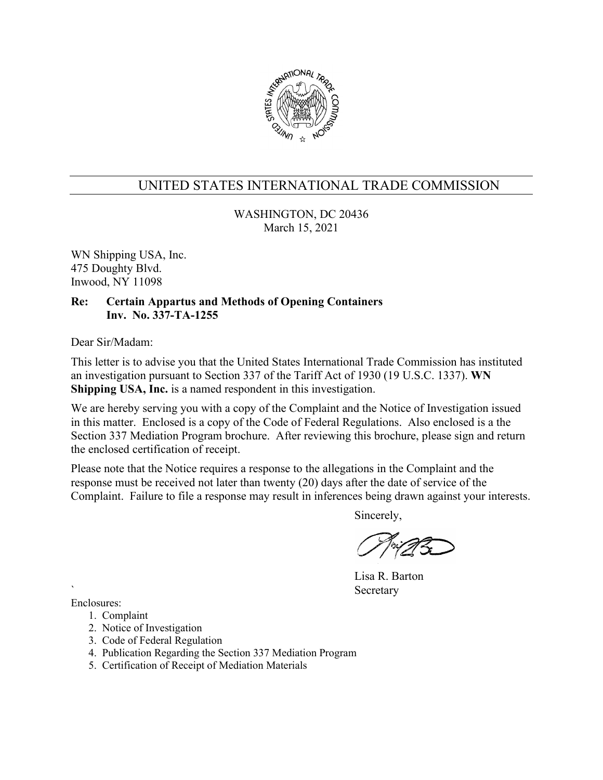

WASHINGTON, DC 20436 March 15, 2021

WN Shipping USA, Inc. 475 Doughty Blvd. Inwood, NY 11098

### **Re: Certain Appartus and Methods of Opening Containers Inv. No. 337-TA-1255**

Dear Sir/Madam:

This letter is to advise you that the United States International Trade Commission has instituted an investigation pursuant to Section 337 of the Tariff Act of 1930 (19 U.S.C. 1337). **WN Shipping USA, Inc.** is a named respondent in this investigation.

We are hereby serving you with a copy of the Complaint and the Notice of Investigation issued in this matter. Enclosed is a copy of the Code of Federal Regulations. Also enclosed is a the Section 337 Mediation Program brochure. After reviewing this brochure, please sign and return the enclosed certification of receipt.

Please note that the Notice requires a response to the allegations in the Complaint and the response must be received not later than twenty (20) days after the date of service of the Complaint. Failure to file a response may result in inferences being drawn against your interests.

Sincerely,

Lisa R. Barton **Secretary** 

- 1. Complaint
- 2. Notice of Investigation
- 3. Code of Federal Regulation
- 4. Publication Regarding the Section 337 Mediation Program
- 5. Certification of Receipt of Mediation Materials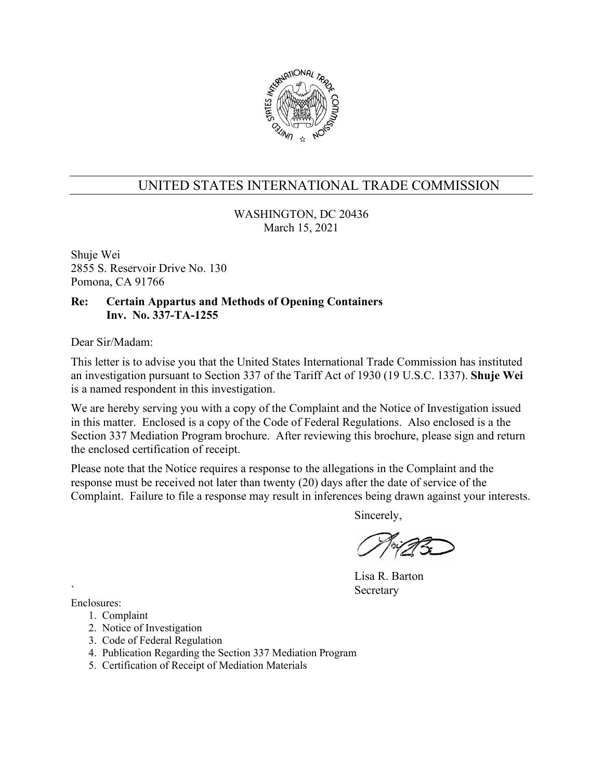

WASHINGTON, DC 20436 March 15, 2021

Shuje Wei 2855 S. Reservoir Drive No. 130 Pomona, CA 91766

### **Re: Certain Appartus and Methods of Opening Containers Inv. No. 337-TA-1255**

Dear Sir/Madam:

This letter is to advise you that the United States International Trade Commission has instituted an investigation pursuant to Section 337 of the Tariff Act of 1930 (19 U.S.C. 1337). **Shuje Wei** is a named respondent in this investigation.

We are hereby serving you with a copy of the Complaint and the Notice of Investigation issued in this matter. Enclosed is a copy of the Code of Federal Regulations. Also enclosed is a the Section 337 Mediation Program brochure. After reviewing this brochure, please sign and return the enclosed certification of receipt.

Please note that the Notice requires a response to the allegations in the Complaint and the response must be received not later than twenty (20) days after the date of service of the Complaint. Failure to file a response may result in inferences being drawn against your interests.

Sincerely,

Lisa R. Barton **Secretary** 

- 1. Complaint
- 2. Notice of Investigation
- 3. Code of Federal Regulation
- 4. Publication Regarding the Section 337 Mediation Program
- 5. Certification of Receipt of Mediation Materials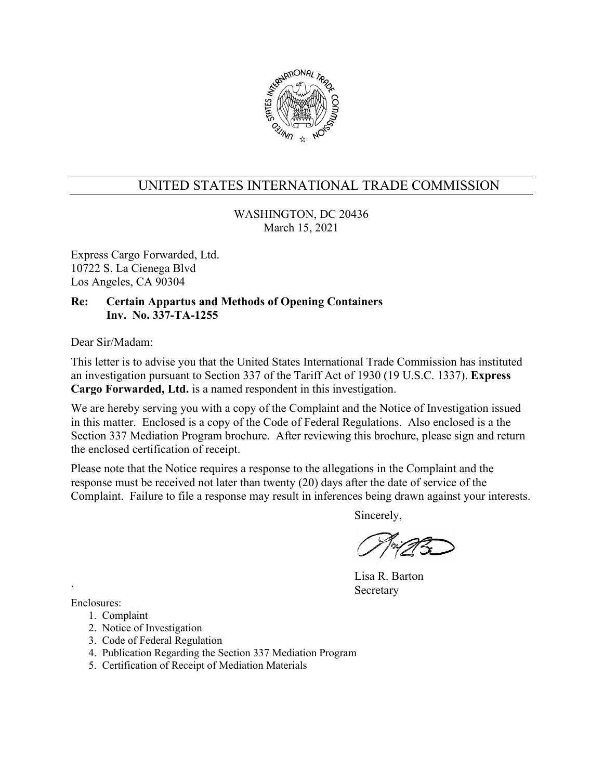

WASHINGTON, DC 20436 March 15, 2021

Express Cargo Forwarded, Ltd. 10722 S. La Cienega Blvd Los Angeles, CA 90304

### **Re: Certain Appartus and Methods of Opening Containers Inv. No. 337-TA-1255**

Dear Sir/Madam:

This letter is to advise you that the United States International Trade Commission has instituted an investigation pursuant to Section 337 of the Tariff Act of 1930 (19 U.S.C. 1337). **Express Cargo Forwarded, Ltd.** is a named respondent in this investigation.

We are hereby serving you with a copy of the Complaint and the Notice of Investigation issued in this matter. Enclosed is a copy of the Code of Federal Regulations. Also enclosed is a the Section 337 Mediation Program brochure. After reviewing this brochure, please sign and return the enclosed certification of receipt.

Please note that the Notice requires a response to the allegations in the Complaint and the response must be received not later than twenty (20) days after the date of service of the Complaint. Failure to file a response may result in inferences being drawn against your interests.

Sincerely,

Lisa R. Barton **Secretary** 

- 1. Complaint
- 2. Notice of Investigation
- 3. Code of Federal Regulation
- 4. Publication Regarding the Section 337 Mediation Program
- 5. Certification of Receipt of Mediation Materials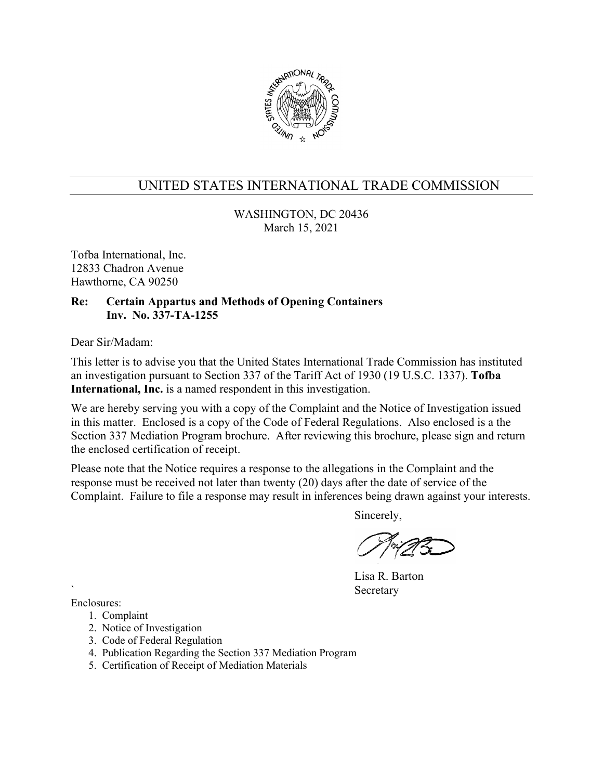

WASHINGTON, DC 20436 March 15, 2021

Tofba International, Inc. 12833 Chadron Avenue Hawthorne, CA 90250

### **Re: Certain Appartus and Methods of Opening Containers Inv. No. 337-TA-1255**

Dear Sir/Madam:

This letter is to advise you that the United States International Trade Commission has instituted an investigation pursuant to Section 337 of the Tariff Act of 1930 (19 U.S.C. 1337). **Tofba International, Inc.** is a named respondent in this investigation.

We are hereby serving you with a copy of the Complaint and the Notice of Investigation issued in this matter. Enclosed is a copy of the Code of Federal Regulations. Also enclosed is a the Section 337 Mediation Program brochure. After reviewing this brochure, please sign and return the enclosed certification of receipt.

Please note that the Notice requires a response to the allegations in the Complaint and the response must be received not later than twenty (20) days after the date of service of the Complaint. Failure to file a response may result in inferences being drawn against your interests.

Sincerely,

Lisa R. Barton **Secretary** 

- 1. Complaint
- 2. Notice of Investigation
- 3. Code of Federal Regulation
- 4. Publication Regarding the Section 337 Mediation Program
- 5. Certification of Receipt of Mediation Materials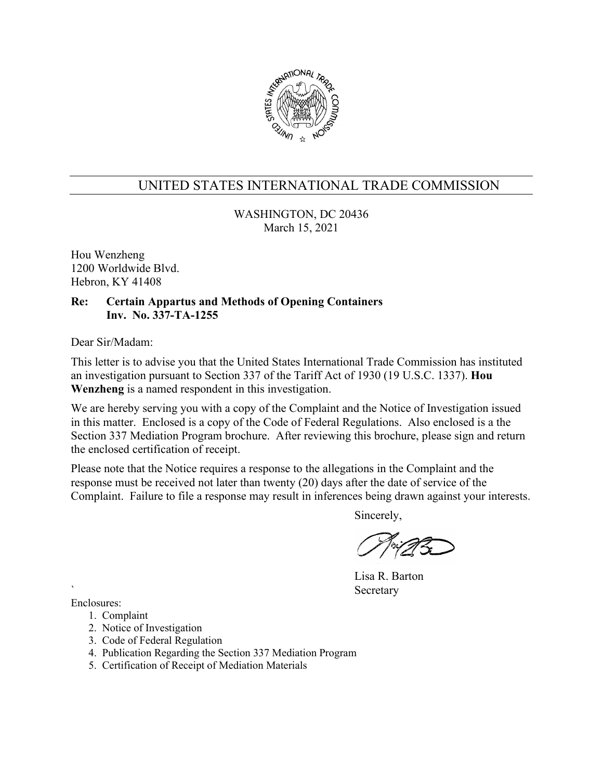

WASHINGTON, DC 20436 March 15, 2021

Hou Wenzheng 1200 Worldwide Blvd. Hebron, KY 41408

### **Re: Certain Appartus and Methods of Opening Containers Inv. No. 337-TA-1255**

Dear Sir/Madam:

This letter is to advise you that the United States International Trade Commission has instituted an investigation pursuant to Section 337 of the Tariff Act of 1930 (19 U.S.C. 1337). **Hou Wenzheng** is a named respondent in this investigation.

We are hereby serving you with a copy of the Complaint and the Notice of Investigation issued in this matter. Enclosed is a copy of the Code of Federal Regulations. Also enclosed is a the Section 337 Mediation Program brochure. After reviewing this brochure, please sign and return the enclosed certification of receipt.

Please note that the Notice requires a response to the allegations in the Complaint and the response must be received not later than twenty (20) days after the date of service of the Complaint. Failure to file a response may result in inferences being drawn against your interests.

Sincerely,

Lisa R. Barton **Secretary** 

- 1. Complaint
- 2. Notice of Investigation
- 3. Code of Federal Regulation
- 4. Publication Regarding the Section 337 Mediation Program
- 5. Certification of Receipt of Mediation Materials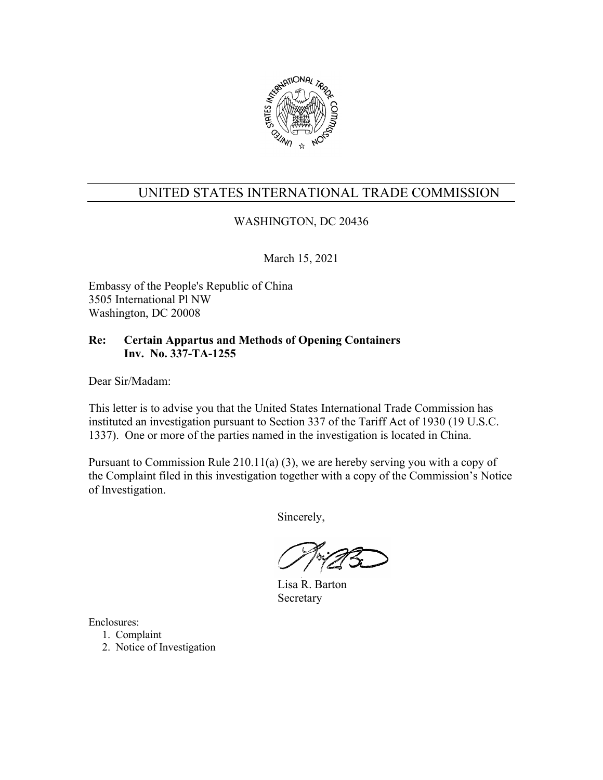

### WASHINGTON, DC 20436

March 15, 2021

Embassy of the People's Republic of China 3505 International Pl NW Washington, DC 20008

### **Re: Certain Appartus and Methods of Opening Containers Inv. No. 337-TA-1255**

Dear Sir/Madam:

This letter is to advise you that the United States International Trade Commission has instituted an investigation pursuant to Section 337 of the Tariff Act of 1930 (19 U.S.C. 1337). One or more of the parties named in the investigation is located in China.

Pursuant to Commission Rule 210.11(a) (3), we are hereby serving you with a copy of the Complaint filed in this investigation together with a copy of the Commission's Notice of Investigation.

Sincerely,

 Lisa R. Barton Secretary

- 1. Complaint
- 2. Notice of Investigation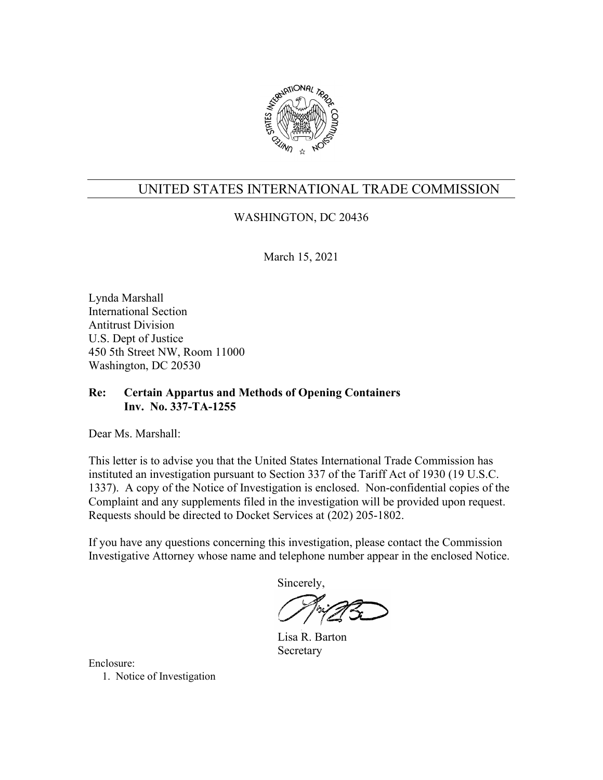

### WASHINGTON, DC 20436

March 15, 2021

Lynda Marshall International Section Antitrust Division U.S. Dept of Justice 450 5th Street NW, Room 11000 Washington, DC 20530

### **Re: Certain Appartus and Methods of Opening Containers Inv. No. 337-TA-1255**

Dear Ms. Marshall:

This letter is to advise you that the United States International Trade Commission has instituted an investigation pursuant to Section 337 of the Tariff Act of 1930 (19 U.S.C. 1337). A copy of the Notice of Investigation is enclosed. Non-confidential copies of the Complaint and any supplements filed in the investigation will be provided upon request. Requests should be directed to Docket Services at (202) 205-1802.

If you have any questions concerning this investigation, please contact the Commission Investigative Attorney whose name and telephone number appear in the enclosed Notice.

Sincerely,

 Lisa R. Barton Secretary

Enclosure: 1. Notice of Investigation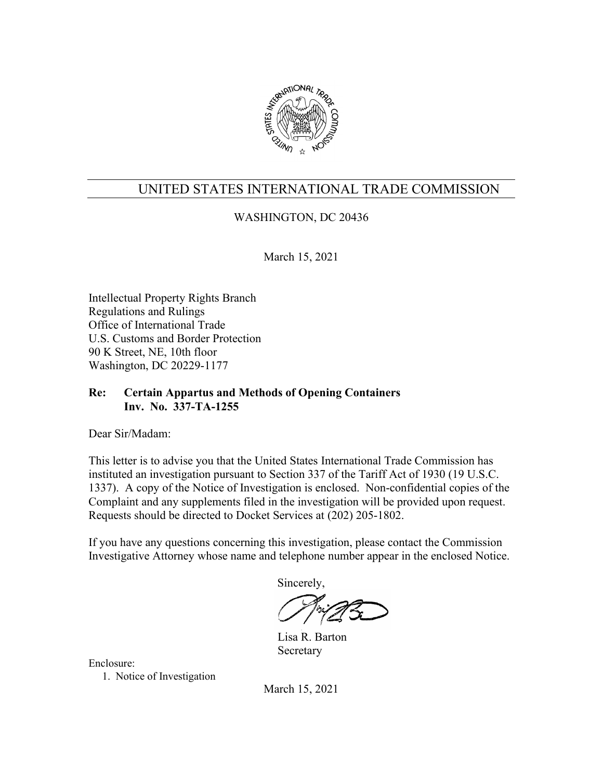

## WASHINGTON, DC 20436

March 15, 2021

Intellectual Property Rights Branch Regulations and Rulings Office of International Trade U.S. Customs and Border Protection 90 K Street, NE, 10th floor Washington, DC 20229-1177

### **Re: Certain Appartus and Methods of Opening Containers Inv. No. 337-TA-1255**

Dear Sir/Madam:

This letter is to advise you that the United States International Trade Commission has instituted an investigation pursuant to Section 337 of the Tariff Act of 1930 (19 U.S.C. 1337). A copy of the Notice of Investigation is enclosed. Non-confidential copies of the Complaint and any supplements filed in the investigation will be provided upon request. Requests should be directed to Docket Services at (202) 205-1802.

If you have any questions concerning this investigation, please contact the Commission Investigative Attorney whose name and telephone number appear in the enclosed Notice.

Sincerely,

 Lisa R. Barton Secretary

Enclosure:

1. Notice of Investigation

March 15, 2021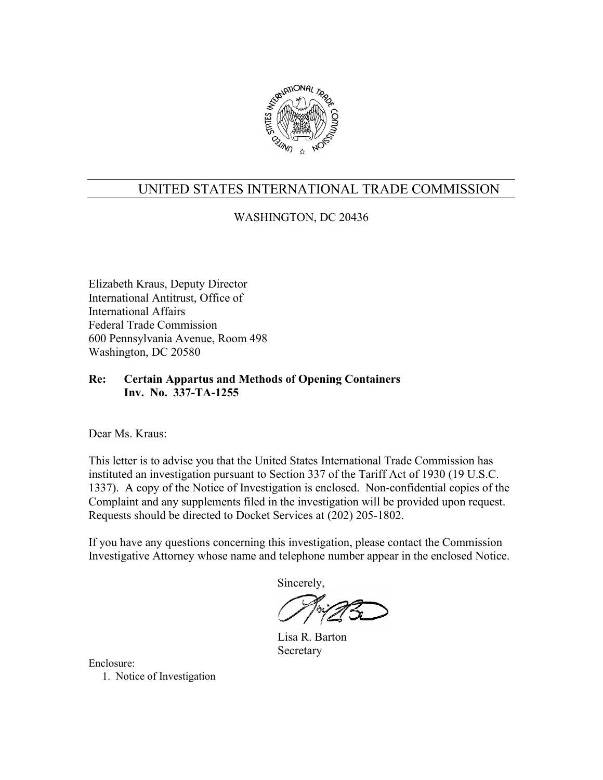

WASHINGTON, DC 20436

Elizabeth Kraus, Deputy Director International Antitrust, Office of International Affairs Federal Trade Commission 600 Pennsylvania Avenue, Room 498 Washington, DC 20580

### **Re: Certain Appartus and Methods of Opening Containers Inv. No. 337-TA-1255**

Dear Ms. Kraus:

This letter is to advise you that the United States International Trade Commission has instituted an investigation pursuant to Section 337 of the Tariff Act of 1930 (19 U.S.C. 1337). A copy of the Notice of Investigation is enclosed. Non-confidential copies of the Complaint and any supplements filed in the investigation will be provided upon request. Requests should be directed to Docket Services at (202) 205-1802.

If you have any questions concerning this investigation, please contact the Commission Investigative Attorney whose name and telephone number appear in the enclosed Notice.

Sincerely,

 Lisa R. Barton Secretary

Enclosure: 1. Notice of Investigation